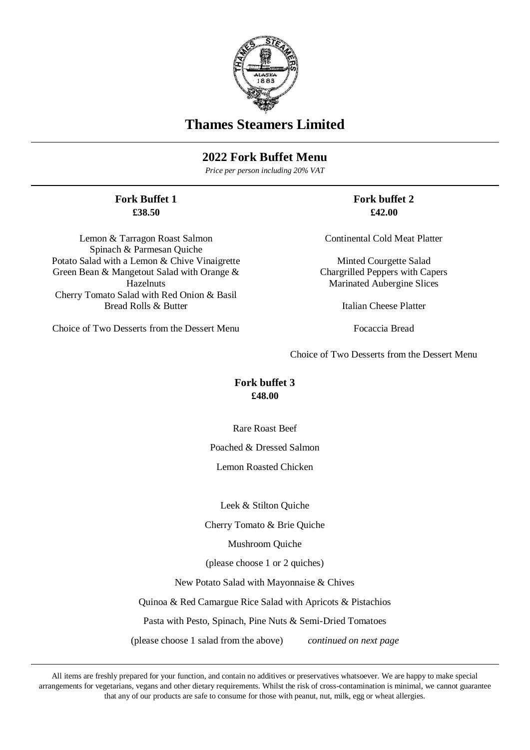

# **Thames Steamers Limited**

## **2022 Fork Buffet Menu**

*Price per person including 20% VAT*

#### **Fork Buffet 1 £38.50**

Lemon & Tarragon Roast Salmon Spinach & Parmesan Quiche Potato Salad with a Lemon & Chive Vinaigrette Green Bean & Mangetout Salad with Orange & Hazelnuts Cherry Tomato Salad with Red Onion & Basil Bread Rolls & Butter

Choice of Two Desserts from the Dessert Menu

**Fork buffet 2 £42.00**

Continental Cold Meat Platter

Minted Courgette Salad Chargrilled Peppers with Capers Marinated Aubergine Slices

Italian Cheese Platter

Focaccia Bread

Choice of Two Desserts from the Dessert Menu

### **Fork buffet 3 £48.00**

Rare Roast Beef

Poached & Dressed Salmon

Lemon Roasted Chicken

Leek & Stilton Quiche

Cherry Tomato & Brie Quiche

Mushroom Quiche

(please choose 1 or 2 quiches)

New Potato Salad with Mayonnaise & Chives

Quinoa & Red Camargue Rice Salad with Apricots & Pistachios

Pasta with Pesto, Spinach, Pine Nuts & Semi-Dried Tomatoes

(please choose 1 salad from the above) *continued on next page*

All items are freshly prepared for your function, and contain no additives or preservatives whatsoever. We are happy to make special arrangements for vegetarians, vegans and other dietary requirements. Whilst the risk of cross-contamination is minimal, we cannot guarantee that any of our products are safe to consume for those with peanut, nut, milk, egg or wheat allergies.